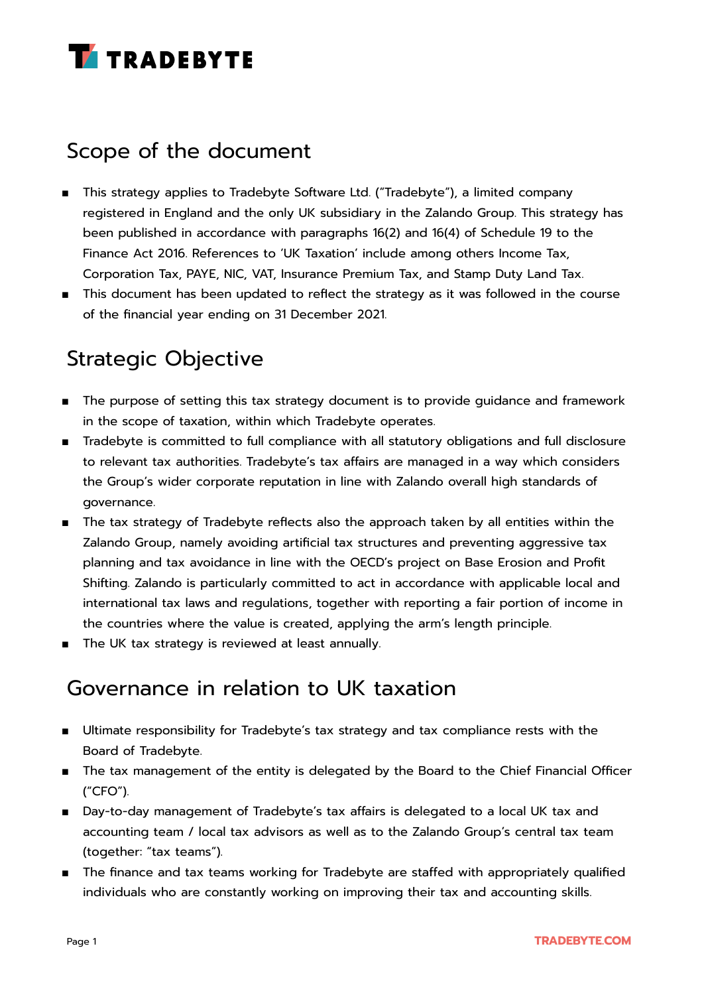

### Scope of the document

- This strategy applies to Tradebyte Software Ltd. ("Tradebyte"), a limited company registered in England and the only UK subsidiary in the Zalando Group. This strategy has been published in accordance with paragraphs 16(2) and 16(4) of Schedule 19 to the Finance Act 2016. References to 'UK Taxation' include among others Income Tax, Corporation Tax, PAYE, NIC, VAT, Insurance Premium Tax, and Stamp Duty Land Tax.
- This document has been updated to reflect the strategy as it was followed in the course of the financial year ending on 31 December 2021.

# Strategic Objective

- The purpose of setting this tax strategy document is to provide guidance and framework in the scope of taxation, within which Tradebyte operates.
- Tradebyte is committed to full compliance with all statutory obligations and full disclosure to relevant tax authorities. Tradebyte's tax affairs are managed in a way which considers the Group's wider corporate reputation in line with Zalando overall high standards of governance.
- The tax strategy of Tradebyte reflects also the approach taken by all entities within the Zalando Group, namely avoiding artificial tax structures and preventing aggressive tax planning and tax avoidance in line with the OECD's project on Base Erosion and Profit Shifting. Zalando is particularly committed to act in accordance with applicable local and international tax laws and regulations, together with reporting a fair portion of income in the countries where the value is created, applying the arm's length principle.
- The UK tax strategy is reviewed at least annually.

### Governance in relation to UK taxation

- Ultimate responsibility for Tradebyte's tax strategy and tax compliance rests with the Board of Tradebyte.
- The tax management of the entity is delegated by the Board to the Chief Financial Officer ("CFO").
- Day-to-day management of Tradebyte's tax affairs is delegated to a local UK tax and accounting team / local tax advisors as well as to the Zalando Group's central tax team (together: "tax teams").
- The finance and tax teams working for Tradebyte are staffed with appropriately qualified individuals who are constantly working on improving their tax and accounting skills.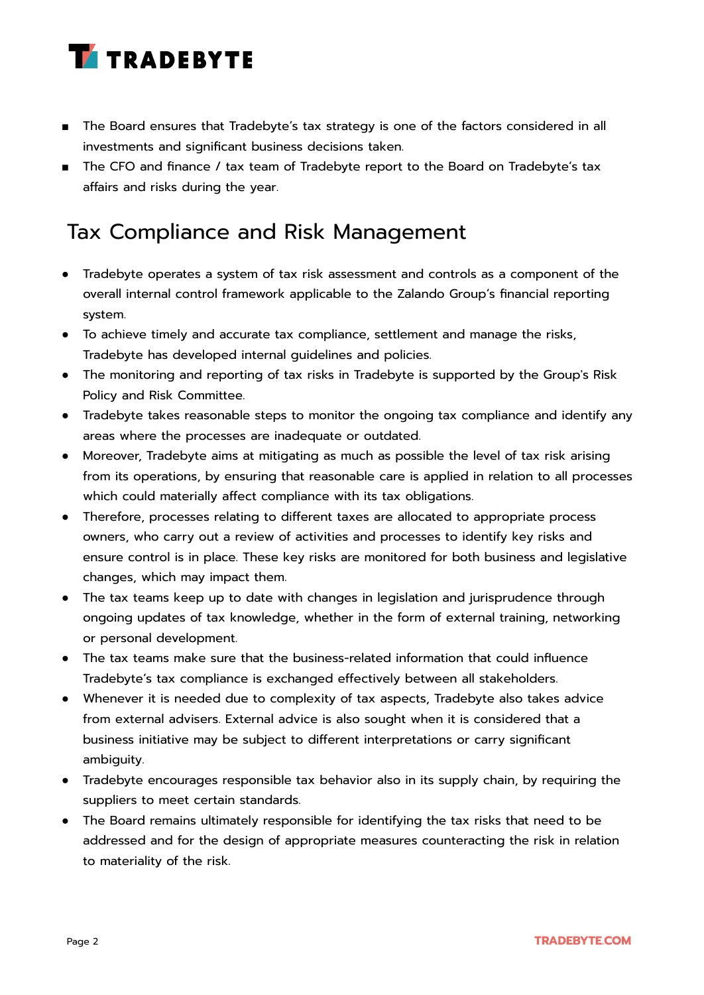

- The Board ensures that Tradebyte's tax strategy is one of the factors considered in all investments and significant business decisions taken.
- The CFO and finance / tax team of Tradebyte report to the Board on Tradebyte's tax affairs and risks during the year.

# Tax Compliance and Risk Management

- Tradebyte operates a system of tax risk assessment and controls as a component of the overall internal control framework applicable to the Zalando Group's financial reporting system.
- To achieve timely and accurate tax compliance, settlement and manage the risks, Tradebyte has developed internal guidelines and policies.
- The monitoring and reporting of tax risks in Tradebyte is supported by the Group's Risk Policy and Risk Committee.
- Tradebyte takes reasonable steps to monitor the ongoing tax compliance and identify any areas where the processes are inadequate or outdated.
- Moreover, Tradebyte aims at mitigating as much as possible the level of tax risk arising from its operations, by ensuring that reasonable care is applied in relation to all processes which could materially affect compliance with its tax obligations.
- Therefore, processes relating to different taxes are allocated to appropriate process owners, who carry out a review of activities and processes to identify key risks and ensure control is in place. These key risks are monitored for both business and legislative changes, which may impact them.
- The tax teams keep up to date with changes in legislation and jurisprudence through ongoing updates of tax knowledge, whether in the form of external training, networking or personal development.
- The tax teams make sure that the business-related information that could influence Tradebyte's tax compliance is exchanged effectively between all stakeholders.
- Whenever it is needed due to complexity of tax aspects, Tradebyte also takes advice from external advisers. External advice is also sought when it is considered that a business initiative may be subject to different interpretations or carry significant ambiguity.
- Tradebyte encourages responsible tax behavior also in its supply chain, by requiring the suppliers to meet certain standards.
- The Board remains ultimately responsible for identifying the tax risks that need to be addressed and for the design of appropriate measures counteracting the risk in relation to materiality of the risk.